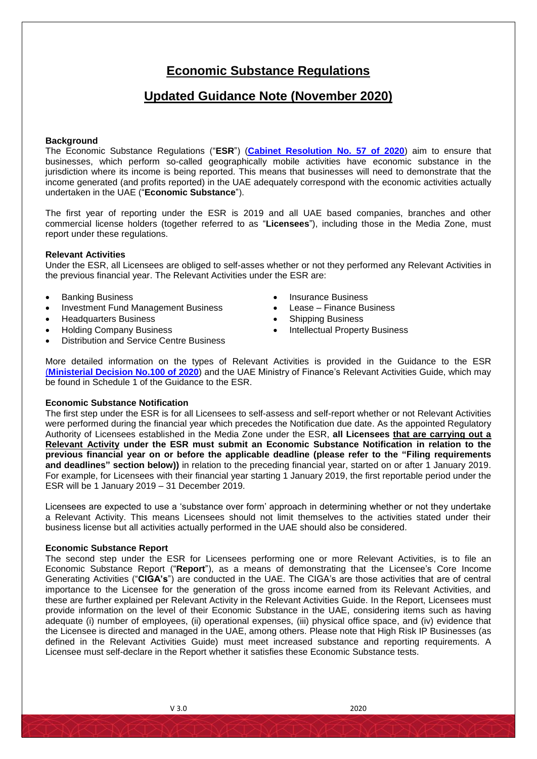# **Economic Substance Regulations**

## **Updated Guidance Note (November 2020)**

#### **Background**

The Economic Substance Regulations ("**ESR**") (**[Cabinet Resolution No. 57 of 2020](https://www.mof.gov.ae/en/StrategicPartnerships/Documents/New_Cabinet_Resolution_No_57_of_2020_revoking_Cabinet_Resolution_No__31_of_2019%20(2).pdf)**) aim to ensure that businesses, which perform so-called geographically mobile activities have economic substance in the jurisdiction where its income is being reported. This means that businesses will need to demonstrate that the income generated (and profits reported) in the UAE adequately correspond with the economic activities actually undertaken in the UAE ("**Economic Substance**").

The first year of reporting under the ESR is 2019 and all UAE based companies, branches and other commercial license holders (together referred to as "**Licensees**"), including those in the Media Zone, must report under these regulations.

#### **Relevant Activities**

Under the ESR, all Licensees are obliged to self-asses whether or not they performed any Relevant Activities in the previous financial year. The Relevant Activities under the ESR are:

- 
- Investment Fund Management Business **Canadian Constructs** Lease Finance Business
- Headquarters Business **Shipping Business Contains Figure 3** Shipping Business
- 
- Distribution and Service Centre Business
- Banking Business **Insurance Business Insurance Business** 
	-
	-
- Holding Company Business **Intellectual Property Business**

More detailed information on the types of Relevant Activities is provided in the Guidance to the ESR (**[Ministerial Decision No.100 of 2020](https://www.mof.gov.ae/en/StrategicPartnerships/Documents/Ministerial%20Decision%20100%20of%202020%20_%20ESR%20Guidance%20and%20Relevant%20Activities%20Guide%20Issued%2019%20August%202020%20_English%20Translation%20(002).pdf)**) and the UAE Ministry of Finance's Relevant Activities Guide, which may be found in Schedule 1 of the Guidance to the ESR.

#### **Economic Substance Notification**

The first step under the ESR is for all Licensees to self-assess and self-report whether or not Relevant Activities were performed during the financial year which precedes the Notification due date. As the appointed Regulatory Authority of Licensees established in the Media Zone under the ESR, **all Licensees that are carrying out a Relevant Activity under the ESR must submit an Economic Substance Notification in relation to the previous financial year on or before the applicable deadline (please refer to the "Filing requirements and deadlines" section below))** in relation to the preceding financial year, started on or after 1 January 2019. For example, for Licensees with their financial year starting 1 January 2019, the first reportable period under the ESR will be 1 January 2019 – 31 December 2019.

Licensees are expected to use a 'substance over form' approach in determining whether or not they undertake a Relevant Activity. This means Licensees should not limit themselves to the activities stated under their business license but all activities actually performed in the UAE should also be considered.

#### **Economic Substance Report**

The second step under the ESR for Licensees performing one or more Relevant Activities, is to file an Economic Substance Report ("**Report**"), as a means of demonstrating that the Licensee's Core Income Generating Activities ("**CIGA's**") are conducted in the UAE. The CIGA's are those activities that are of central importance to the Licensee for the generation of the gross income earned from its Relevant Activities, and these are further explained per Relevant Activity in the Relevant Activities Guide. In the Report, Licensees must provide information on the level of their Economic Substance in the UAE, considering items such as having adequate (i) number of employees, (ii) operational expenses, (iii) physical office space, and (iv) evidence that the Licensee is directed and managed in the UAE, among others. Please note that High Risk IP Businesses (as defined in the Relevant Activities Guide) must meet increased substance and reporting requirements. A Licensee must self-declare in the Report whether it satisfies these Economic Substance tests.